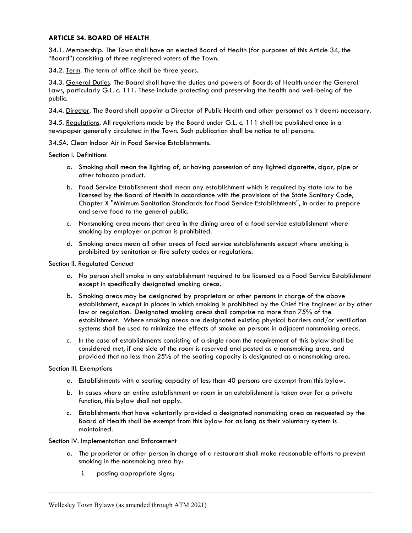# ARTICLE 34. BOARD OF HEALTH

34.1. Membership. The Town shall have an elected Board of Health (for purposes of this Article 34, the "Board") consisting of three registered voters of the Town.

34.2. Term. The term of office shall be three years.

34.3. General Duties. The Board shall have the duties and powers of Boards of Health under the General Laws, particularly G.L. c. 111. These include protecting and preserving the health and well-being of the public.

34.4. Director. The Board shall appoint a Director of Public Health and other personnel as it deems necessary.

34.5. Regulations. All regulations made by the Board under G.L. c. 111 shall be published once in a newspaper generally circulated in the Town. Such publication shall be notice to all persons.

34.5A. Clean Indoor Air in Food Service Establishments.

Section I. Definitions

- a. Smoking shall mean the lighting of, or having possession of any lighted cigarette, cigar, pipe or other tobacco product.
- b. Food Service Establishment shall mean any establishment which is required by state law to be licensed by the Board of Health in accordance with the provisions of the State Sanitary Code, Chapter X "Minimum Sanitation Standards for Food Service Establishments", in order to prepare and serve food to the general public.
- c. Nonsmoking area means that area in the dining area of a food service establishment where smoking by employer or patron is prohibited.
- d. Smoking areas mean all other areas of food service establishments except where smoking is prohibited by sanitation or fire safety codes or regulations.

Section II. Regulated Conduct

- a. No person shall smoke in any establishment required to be licensed as a Food Service Establishment except in specifically designated smoking areas.
- b. Smoking areas may be designated by proprietors or other persons in charge of the above establishment, except in places in which smoking is prohibited by the Chief Fire Engineer or by other law or regulation. Designated smoking areas shall comprise no more than 75% of the establishment. Where smoking areas are designated existing physical barriers and/or ventilation systems shall be used to minimize the effects of smoke on persons in adjacent nonsmoking areas.
- c. In the case of establishments consisting of a single room the requirement of this bylaw shall be considered met, if one side of the room is reserved and posted as a nonsmoking area, and provided that no less than 25% of the seating capacity is designated as a nonsmoking area.

Section III. Exemptions

- a. Establishments with a seating capacity of less than 40 persons are exempt from this bylaw.
- b. In cases where an entire establishment or room in an establishment is taken over for a private function, this bylaw shall not apply.
- c. Establishments that have voluntarily provided a designated nonsmoking area as requested by the Board of Health shall be exempt from this bylaw for as long as their voluntary system is maintained.

Section IV. Implementation and Enforcement

- a. The proprietor or other person in charge of a restaurant shall make reasonable efforts to prevent smoking in the nonsmoking area by:
	- i. posting appropriate signs;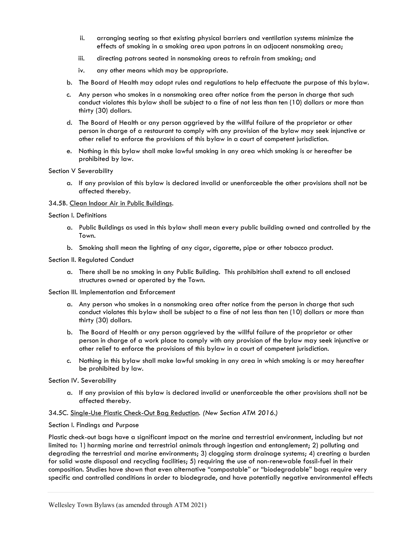- ii. arranging seating so that existing physical barriers and ventilation systems minimize the effects of smoking in a smoking area upon patrons in an adjacent nonsmoking area;
- iii. directing patrons seated in nonsmoking areas to refrain from smoking; and
- iv. any other means which may be appropriate.
- b. The Board of Health may adopt rules and regulations to help effectuate the purpose of this bylaw.
- c. Any person who smokes in a nonsmoking area after notice from the person in charge that such conduct violates this bylaw shall be subject to a fine of not less than ten (10) dollars or more than thirty (30) dollars.
- d. The Board of Health or any person aggrieved by the willful failure of the proprietor or other person in charge of a restaurant to comply with any provision of the bylaw may seek injunctive or other relief to enforce the provisions of this bylaw in a court of competent jurisdiction.
- e. Nothing in this bylaw shall make lawful smoking in any area which smoking is or hereafter be prohibited by law.

### Section V Severability

a. If any provision of this bylaw is declared invalid or unenforceable the other provisions shall not be affected thereby.

## 34.5B. Clean Indoor Air in Public Buildings.

### Section I. Definitions

- a. Public Buildings as used in this bylaw shall mean every public building owned and controlled by the Town.
- b. Smoking shall mean the lighting of any cigar, cigarette, pipe or other tobacco product.

## Section II. Regulated Conduct

a. There shall be no smoking in any Public Building. This prohibition shall extend to all enclosed structures owned or operated by the Town.

Section III. Implementation and Enforcement

- a. Any person who smokes in a nonsmoking area after notice from the person in charge that such conduct violates this bylaw shall be subject to a fine of not less than ten (10) dollars or more than thirty (30) dollars.
- b. The Board of Health or any person aggrieved by the willful failure of the proprietor or other person in charge of a work place to comply with any provision of the bylaw may seek injunctive or other relief to enforce the provisions of this bylaw in a court of competent jurisdiction.
- c. Nothing in this bylaw shall make lawful smoking in any area in which smoking is or may hereafter be prohibited by law.

### Section IV. Severability

a. If any provision of this bylaw is declared invalid or unenforceable the other provisions shall not be affected thereby.

### 34.5C. Single-Use Plastic Check-Out Bag Reduction. (New Section ATM 2016.)

## Section I. Findings and Purpose

Plastic check-out bags have a significant impact on the marine and terrestrial environment, including but not limited to: 1) harming marine and terrestrial animals through ingestion and entanglement; 2) polluting and degrading the terrestrial and marine environments; 3) clogging storm drainage systems; 4) creating a burden for solid waste disposal and recycling facilities; 5) requiring the use of non-renewable fossil-fuel in their composition. Studies have shown that even alternative "compostable" or "biodegradable" bags require very specific and controlled conditions in order to biodegrade, and have potentially negative environmental effects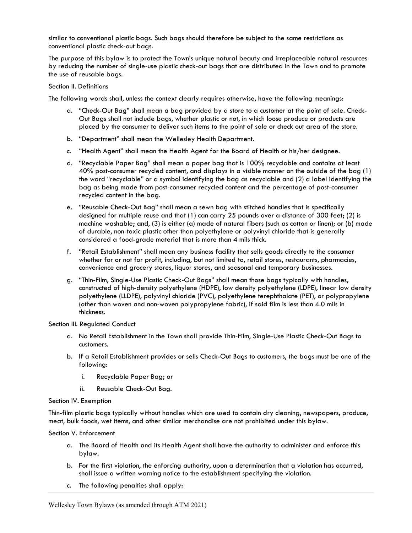similar to conventional plastic bags. Such bags should therefore be subject to the same restrictions as conventional plastic check-out bags.

The purpose of this bylaw is to protect the Town's unique natural beauty and irreplaceable natural resources by reducing the number of single-use plastic check-out bags that are distributed in the Town and to promote the use of reusable bags.

## Section II. Definitions

The following words shall, unless the context clearly requires otherwise, have the following meanings:

- a. "Check-Out Bag" shall mean a bag provided by a store to a customer at the point of sale. Check-Out Bags shall not include bags, whether plastic or not, in which loose produce or products are placed by the consumer to deliver such items to the point of sale or check out area of the store.
- b. "Department" shall mean the Wellesley Health Department.
- c. "Health Agent" shall mean the Health Agent for the Board of Health or his/her designee.
- d. "Recyclable Paper Bag" shall mean a paper bag that is 100% recyclable and contains at least 40% post-consumer recycled content, and displays in a visible manner on the outside of the bag (1) the word "recyclable" or a symbol identifying the bag as recyclable and (2) a label identifying the bag as being made from post-consumer recycled content and the percentage of post-consumer recycled content in the bag.
- e. "Reusable Check-Out Bag" shall mean a sewn bag with stitched handles that is specifically designed for multiple reuse and that (1) can carry 25 pounds over a distance of 300 feet; (2) is machine washable; and, (3) is either (a) made of natural fibers (such as cotton or linen); or (b) made of durable, non-toxic plastic other than polyethylene or polyvinyl chloride that is generally considered a food-grade material that is more than 4 mils thick.
- f. "Retail Establishment" shall mean any business facility that sells goods directly to the consumer whether for or not for profit, including, but not limited to, retail stores, restaurants, pharmacies, convenience and grocery stores, liquor stores, and seasonal and temporary businesses.
- g. "Thin-Film, Single-Use Plastic Check-Out Bags" shall mean those bags typically with handles, constructed of high-density polyethylene (HDPE), low density polyethylene (LDPE), linear low density polyethylene (LLDPE), polyvinyl chloride (PVC), polyethylene terephthalate (PET), or polypropylene (other than woven and non-woven polypropylene fabric), if said film is less than 4.0 mils in thickness.

### Section III. Regulated Conduct

- a. No Retail Establishment in the Town shall provide Thin-Film, Single-Use Plastic Check-Out Bags to customers.
- b. If a Retail Establishment provides or sells Check-Out Bags to customers, the bags must be one of the following:
	- i. Recyclable Paper Bag; or
	- ii. Reusable Check-Out Bag.

### Section IV. Exemption

Thin-film plastic bags typically without handles which are used to contain dry cleaning, newspapers, produce, meat, bulk foods, wet items, and other similar merchandise are not prohibited under this bylaw.

Section V. Enforcement

- a. The Board of Health and its Health Agent shall have the authority to administer and enforce this bylaw.
- b. For the first violation, the enforcing authority, upon a determination that a violation has occurred, shall issue a written warning notice to the establishment specifying the violation.
- c. The following penalties shall apply: